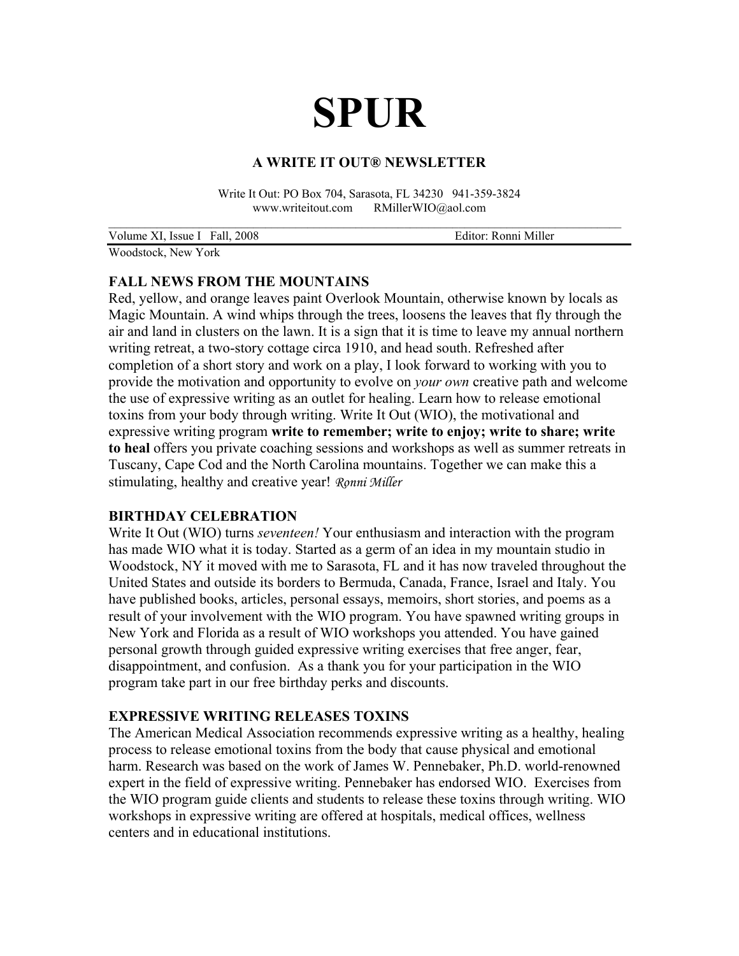# **SPUR**

## **A WRITE IT OUT® NEWSLETTER**

Write It Out: PO Box 704, Sarasota, FL 34230 941-359-3824 www.writeitout.com RMillerWIO@aol.com

| Volume XI, Issue I Fall, 2008 | Editor: Ronni Miller |
|-------------------------------|----------------------|
| 1171.111.171                  |                      |

Woodstock, New York

## **FALL NEWS FROM THE MOUNTAINS**

Red, yellow, and orange leaves paint Overlook Mountain, otherwise known by locals as Magic Mountain. A wind whips through the trees, loosens the leaves that fly through the air and land in clusters on the lawn. It is a sign that it is time to leave my annual northern writing retreat, a two-story cottage circa 1910, and head south. Refreshed after completion of a short story and work on a play, I look forward to working with you to provide the motivation and opportunity to evolve on *your own* creative path and welcome the use of expressive writing as an outlet for healing. Learn how to release emotional toxins from your body through writing. Write It Out (WIO), the motivational and expressive writing program **write to remember; write to enjoy; write to share; write to heal** offers you private coaching sessions and workshops as well as summer retreats in Tuscany, Cape Cod and the North Carolina mountains. Together we can make this a stimulating, healthy and creative year! *Ronni Miller*

## **BIRTHDAY CELEBRATION**

Write It Out (WIO) turns *seventeen!* Your enthusiasm and interaction with the program has made WIO what it is today. Started as a germ of an idea in my mountain studio in Woodstock, NY it moved with me to Sarasota, FL and it has now traveled throughout the United States and outside its borders to Bermuda, Canada, France, Israel and Italy. You have published books, articles, personal essays, memoirs, short stories, and poems as a result of your involvement with the WIO program. You have spawned writing groups in New York and Florida as a result of WIO workshops you attended. You have gained personal growth through guided expressive writing exercises that free anger, fear, disappointment, and confusion. As a thank you for your participation in the WIO program take part in our free birthday perks and discounts.

## **EXPRESSIVE WRITING RELEASES TOXINS**

The American Medical Association recommends expressive writing as a healthy, healing process to release emotional toxins from the body that cause physical and emotional harm. Research was based on the work of James W. Pennebaker, Ph.D. world-renowned expert in the field of expressive writing. Pennebaker has endorsed WIO. Exercises from the WIO program guide clients and students to release these toxins through writing. WIO workshops in expressive writing are offered at hospitals, medical offices, wellness centers and in educational institutions.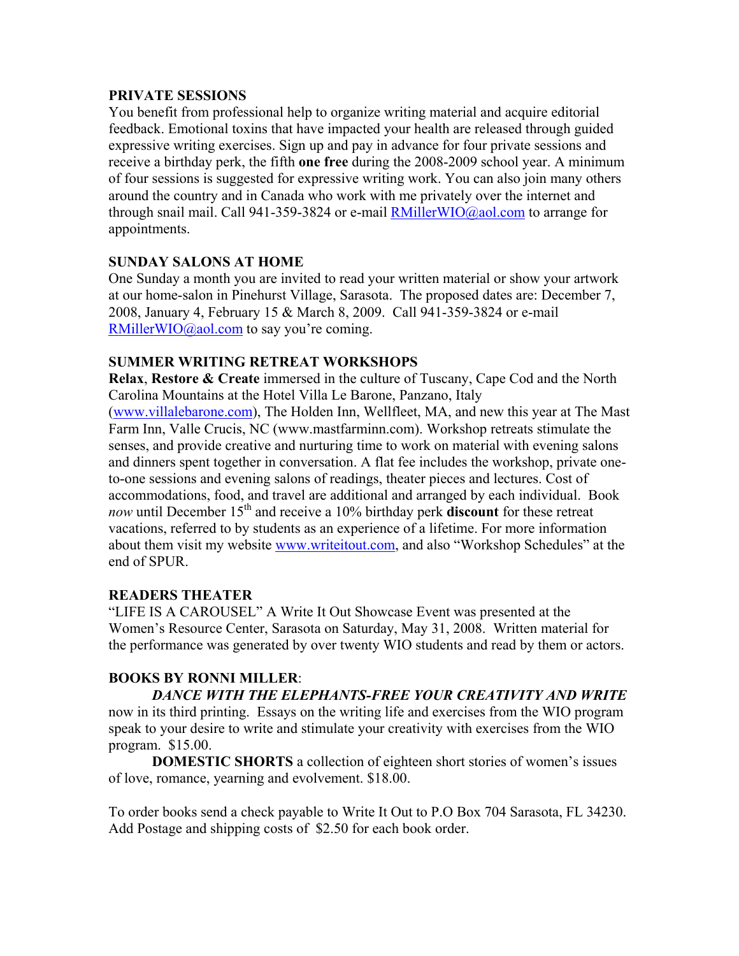## **PRIVATE SESSIONS**

You benefit from professional help to organize writing material and acquire editorial feedback. Emotional toxins that have impacted your health are released through guided expressive writing exercises. Sign up and pay in advance for four private sessions and receive a birthday perk, the fifth **one free** during the 2008-2009 school year. A minimum of four sessions is suggested for expressive writing work. You can also join many others around the country and in Canada who work with me privately over the internet and through snail mail. Call 941-359-3824 or e-mail  $RMillerWIO@aol.com$  to arrange for appointments.

## **SUNDAY SALONS AT HOME**

One Sunday a month you are invited to read your written material or show your artwork at our home-salon in Pinehurst Village, Sarasota. The proposed dates are: December 7, 2008, January 4, February 15 & March 8, 2009. Call 941-359-3824 or e-mail [RMillerWIO@aol.com](mailto:RMillerWIO@aol.com) to say you're coming.

## **SUMMER WRITING RETREAT WORKSHOPS**

**Relax**, **Restore & Create** immersed in the culture of Tuscany, Cape Cod and the North Carolina Mountains at the Hotel Villa Le Barone, Panzano, Italy

([www.villalebarone.com](http://www.villalebarone.com)), The Holden Inn, Wellfleet, MA, and new this year at The Mast Farm Inn, Valle Crucis, NC (www.mastfarminn.com). Workshop retreats stimulate the senses, and provide creative and nurturing time to work on material with evening salons and dinners spent together in conversation. A flat fee includes the workshop, private oneto-one sessions and evening salons of readings, theater pieces and lectures. Cost of accommodations, food, and travel are additional and arranged by each individual. Book *now* until December 15<sup>th</sup> and receive a 10% birthday perk **discount** for these retreat vacations, referred to by students as an experience of a lifetime. For more information about them visit my website [www.writeitout.com,](http://www.writeitout.com) and also "Workshop Schedules" at the end of SPUR.

# **READERS THEATER**

"LIFE IS A CAROUSEL" A Write It Out Showcase Event was presented at the Women's Resource Center, Sarasota on Saturday, May 31, 2008. Written material for the performance was generated by over twenty WIO students and read by them or actors.

# **BOOKS BY RONNI MILLER**:

 *DANCE WITH THE ELEPHANTS-FREE YOUR CREATIVITY AND WRITE*  now in its third printing. Essays on the writing life and exercises from the WIO program speak to your desire to write and stimulate your creativity with exercises from the WIO program. \$15.00.

**DOMESTIC SHORTS** a collection of eighteen short stories of women's issues of love, romance, yearning and evolvement. \$18.00.

To order books send a check payable to Write It Out to P.O Box 704 Sarasota, FL 34230. Add Postage and shipping costs of \$2.50 for each book order.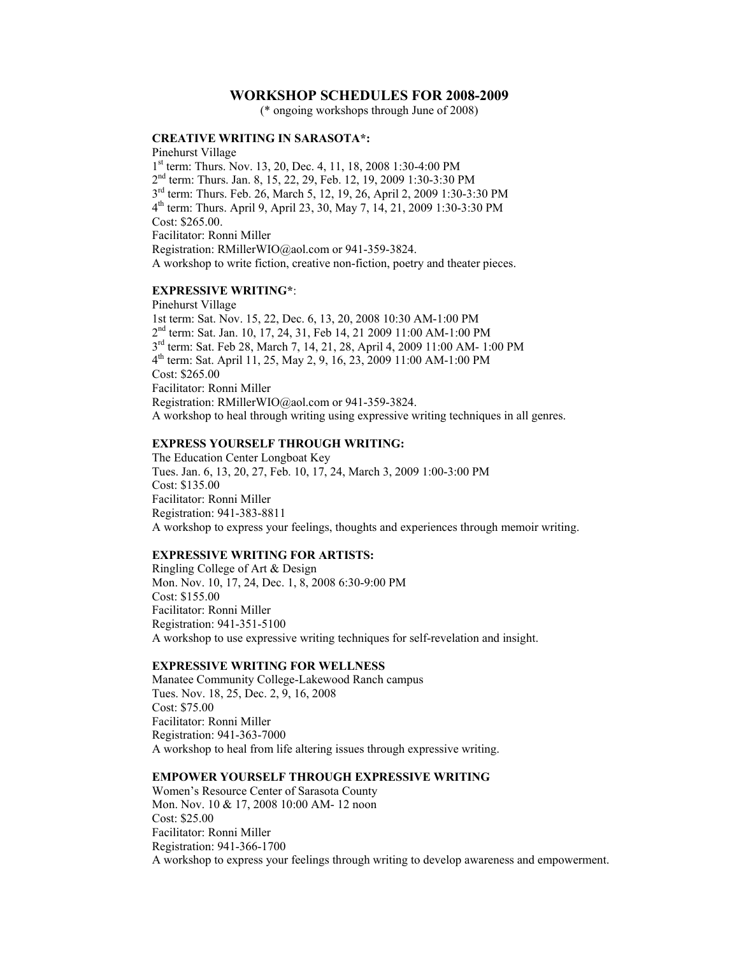## **WORKSHOP SCHEDULES FOR 2008-2009**

(\* ongoing workshops through June of 2008)

## **CREATIVE WRITING IN SARASOTA\*:**

Pinehurst Village 1st term: Thurs. Nov. 13, 20, Dec. 4, 11, 18, 2008 1:30-4:00 PM 2nd term: Thurs. Jan. 8, 15, 22, 29, Feb. 12, 19, 2009 1:30-3:30 PM 3rd term: Thurs. Feb. 26, March 5, 12, 19, 26, April 2, 2009 1:30-3:30 PM 4th term: Thurs. April 9, April 23, 30, May 7, 14, 21, 2009 1:30-3:30 PM Cost: \$265.00. Facilitator: Ronni Miller Registration: RMillerWIO@aol.com or 941-359-3824. A workshop to write fiction, creative non-fiction, poetry and theater pieces.

#### **EXPRESSIVE WRITING\***:

Pinehurst Village 1st term: Sat. Nov. 15, 22, Dec. 6, 13, 20, 2008 10:30 AM-1:00 PM 2nd term: Sat. Jan. 10, 17, 24, 31, Feb 14, 21 2009 11:00 AM-1:00 PM 3rd term: Sat. Feb 28, March 7, 14, 21, 28, April 4, 2009 11:00 AM- 1:00 PM 4th term: Sat. April 11, 25, May 2, 9, 16, 23, 2009 11:00 AM-1:00 PM Cost: \$265.00 Facilitator: Ronni Miller Registration: RMillerWIO@aol.com or 941-359-3824. A workshop to heal through writing using expressive writing techniques in all genres.

#### **EXPRESS YOURSELF THROUGH WRITING:**

The Education Center Longboat Key Tues. Jan. 6, 13, 20, 27, Feb. 10, 17, 24, March 3, 2009 1:00-3:00 PM Cost: \$135.00 Facilitator: Ronni Miller Registration: 941-383-8811 A workshop to express your feelings, thoughts and experiences through memoir writing.

### **EXPRESSIVE WRITING FOR ARTISTS:**

Ringling College of Art & Design Mon. Nov. 10, 17, 24, Dec. 1, 8, 2008 6:30-9:00 PM Cost: \$155.00 Facilitator: Ronni Miller Registration: 941-351-5100 A workshop to use expressive writing techniques for self-revelation and insight.

#### **EXPRESSIVE WRITING FOR WELLNESS**

Manatee Community College-Lakewood Ranch campus Tues. Nov. 18, 25, Dec. 2, 9, 16, 2008 Cost: \$75.00 Facilitator: Ronni Miller Registration: 941-363-7000 A workshop to heal from life altering issues through expressive writing.

#### **EMPOWER YOURSELF THROUGH EXPRESSIVE WRITING**

Women's Resource Center of Sarasota County Mon. Nov. 10 & 17, 2008 10:00 AM- 12 noon Cost: \$25.00 Facilitator: Ronni Miller Registration: 941-366-1700 A workshop to express your feelings through writing to develop awareness and empowerment.